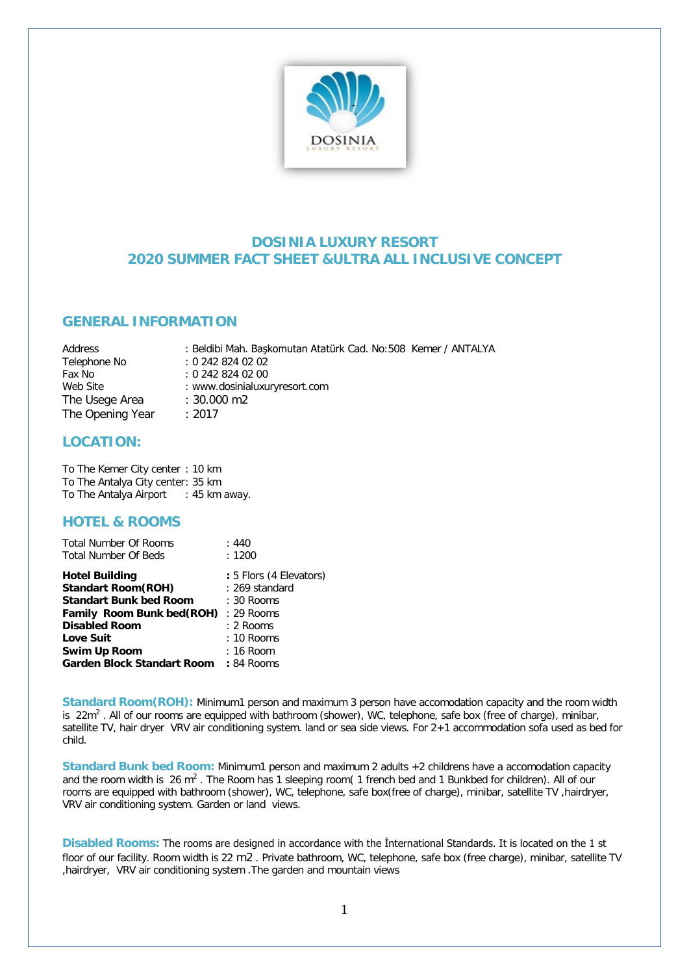

## **DOSINIA LUXURY RESORT 2020 SUMMER FACT SHEET &ULTRA ALL INCLUSIVE CONCEPT**

## **GENERAL INFORMATION**

Address : Beldibi Mah. Başkomutan Atatürk Cad. No:508 Kemer / ANTALYA<br>Telephone No : 0 242 824 02 02  $: 0.2428240202$ Fax No : 0 242 824 02 00 Web Site : www.dosinialuxuryresort.com The Usege Area : 30.000 m2 The Opening Year : 2017

## **LOCATION:**

To The Kemer City center : 10 km To The Antalya City center: 35 km To The Antalya Airport : 45 km away.

## **HOTEL & ROOMS**

| <b>Total Number Of Rooms</b>          | :440                    |
|---------------------------------------|-------------------------|
| <b>Total Number Of Beds</b>           | : 1200                  |
| <b>Hotel Building</b>                 | : 5 Flors (4 Elevators) |
| <b>Standart Room (ROH)</b>            | : 269 standard          |
| <b>Standart Bunk bed Room</b>         | $: 30$ Rooms            |
| Family Room Bunk bed(ROH)             | $: 29$ Rooms            |
| <b>Disabled Room</b>                  | : 2 Rooms               |
| <b>Love Suit</b>                      | $: 10$ Rooms            |
| <b>Swim Up Room</b>                   | : 16 Room               |
| Garden Block Standart Room : 84 Rooms |                         |

**Standard Room(ROH):** Minimum1 person and maximum 3 person have accomodation capacity and the room width is  $22m^2$ . All of our rooms are equipped with bathroom (shower), WC, telephone, safe box (free of charge), minibar, satellite TV, hair dryer VRV air conditioning system. land or sea side views. For 2+1 accommodation sofa used as bed for child.

**Standard Bunk bed Room:** Minimum1 person and maximum 2 adults +2 childrens have a accomodation capacity and the room width is  $26 \text{ m}^2$ . The Room has 1 sleeping room(1 french bed and 1 Bunkbed for children). All of our rooms are equipped with bathroom (shower), WC, telephone, safe box(free of charge), minibar, satellite TV ,hairdryer, VRV air conditioning system. Garden or land views.

**Disabled Rooms:** The rooms are designed in accordance with the İnternational Standards. It is located on the 1 st floor of our facility. Room width is 22 m2 . Private bathroom, WC, telephone, safe box (free charge), minibar, satellite TV ,hairdryer, VRV air conditioning system .The garden and mountain views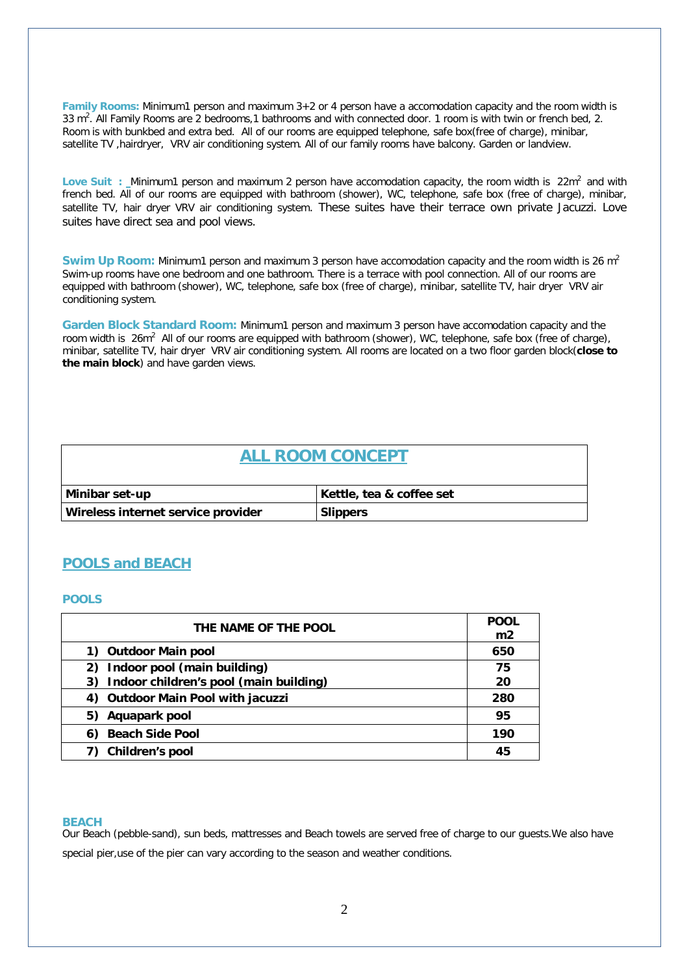**Family Rooms:** Minimum1 person and maximum 3+2 or 4 person have a accomodation capacity and the room width is 33 m2 . All Family Rooms are 2 bedrooms,1 bathrooms and with connected door. 1 room is with twin or french bed, 2. Room is with bunkbed and extra bed. All of our rooms are equipped telephone, safe box(free of charge), minibar, satellite TV ,hairdryer, VRV air conditioning system. All of our family rooms have balcony. Garden or landview.

Love Suit : Minimum1 person and maximum 2 person have accomodation capacity, the room width is 22m<sup>2</sup> and with french bed. All of our rooms are equipped with bathroom (shower), WC, telephone, safe box (free of charge), minibar, satellite TV, hair dryer VRV air conditioning system. These suites have their terrace own private Jacuzzi. Love suites have direct sea and pool views.

**Swim Up Room:** Minimum1 person and maximum 3 person have accomodation capacity and the room width is 26 m<sup>2</sup> Swim-up rooms have one bedroom and one bathroom. There is a terrace with pool connection. All of our rooms are equipped with bathroom (shower), WC, telephone, safe box (free of charge), minibar, satellite TV, hair dryer VRV air conditioning system.

**Garden Block Standard Room:** Minimum1 person and maximum 3 person have accomodation capacity and the room width is 26m<sup>2</sup> All of our rooms are equipped with bathroom (shower), WC, telephone, safe box (free of charge), minibar, satellite TV, hair dryer VRV air conditioning system. All rooms are located on a two floor garden block(**close to the main block**) and have garden views.

# **ALL ROOM CONCEPT Minibar set-up Kettle, tea & coffee set Wireless internet service provider Slippers**

## **POOLS and BEACH**

#### **POOLS**

| THE NAME OF THE POOL                         | <b>POOL</b><br>m <sub>2</sub> |
|----------------------------------------------|-------------------------------|
| <b>Outdoor Main pool</b><br>1)               | 650                           |
| 2) Indoor pool (main building)               | 75                            |
| Indoor children's pool (main building)<br>3) | 20                            |
| <b>Outdoor Main Pool with jacuzzi</b><br>4)  | 280                           |
| Aquapark pool<br>5)                          | 95                            |
| 6) Beach Side Pool                           | 190                           |
| Children's pool                              | 45                            |

#### **BEACH**

Our Beach (pebble-sand), sun beds, mattresses and Beach towels are served free of charge to our guests.We also have special pier, use of the pier can vary according to the season and weather conditions.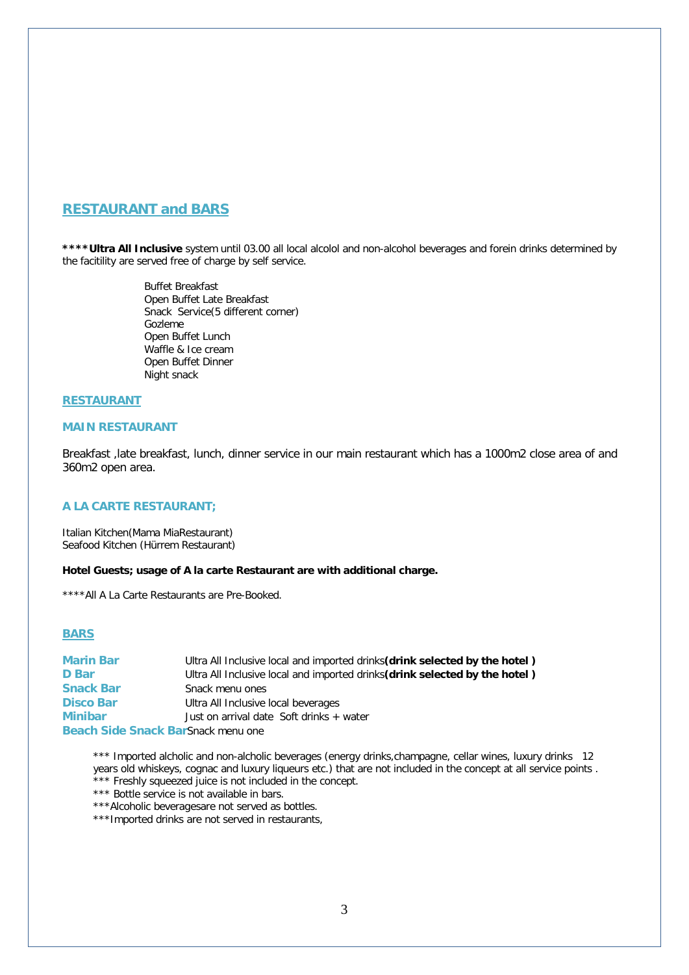## **RESTAURANT and BARS**

**\*\*\*\*Ultra All Inclusive** system until 03.00 all local alcolol and non-alcohol beverages and forein drinks determined by the facitility are served free of charge by self service.

> Buffet Breakfast Open Buffet Late Breakfast Snack Service(5 different corner) Gozleme Open Buffet Lunch Waffle & Ice cream Open Buffet Dinner Night snack

#### **RESTAURANT**

### **MAIN RESTAURANT**

Breakfast ,late breakfast, lunch, dinner service in our main restaurant which has a 1000m2 close area of and 360m2 open area.

#### **A LA CARTE RESTAURANT;**

Italian Kitchen(Mama MiaRestaurant) Seafood Kitchen (Hürrem Restaurant)

#### **Hotel Guests; usage of A la carte Restaurant are with additional charge.**

\*\*\*\*All A La Carte Restaurants are Pre-Booked.

#### **BARS**

**Marin Bar** Ultra All Inclusive local and imported drinks**(drink selected by the hotel ) D** Bar Ultra All Inclusive local and imported drinks (drink selected by the hotel) **Snack Bar** Snack menu ones **Disco Bar** Ultra All Inclusive local beverages **Minibar** Just on arrival date Soft drinks + water **Beach Side Snack Bar**Snack menu one

\*\*\* Imported alcholic and non-alcholic beverages (energy drinks, champagne, cellar wines, luxury drinks 12 years old whiskeys, cognac and luxury liqueurs etc.) that are not included in the concept at all service points . \*\* Freshly squeezed juice is not included in the concept.

\*\*\* Bottle service is not available in bars.

\*\*\*Alcoholic beveragesare not served as bottles.

\*\*\*Imported drinks are not served in restaurants,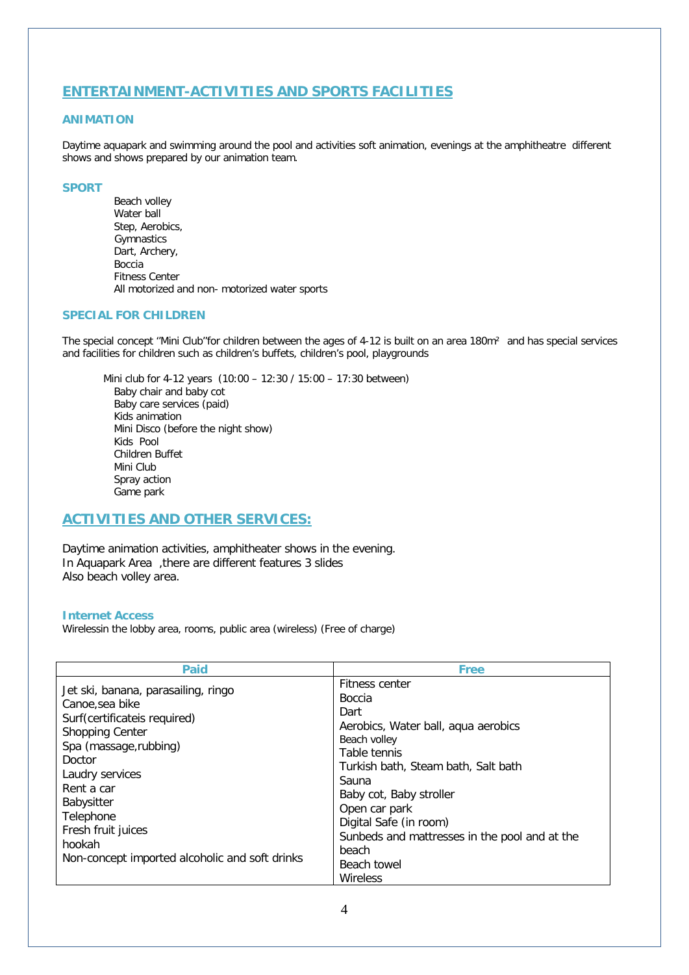## **ENTERTAINMENT-ACTIVITIES AND SPORTS FACILITIES**

## **ANIMATION**

Daytime aquapark and swimming around the pool and activities soft animation, evenings at the amphitheatre different shows and shows prepared by our animation team.

#### **SPORT**

Beach volley Water ball Step, Aerobics, **Gymnastics** Dart, Archery, Boccia Fitness Center All motorized and non- motorized water sports

### **SPECIAL FOR CHILDREN**

The special concept ''Mini Club''for children between the ages of 4-12 is built on an area 180m² and has special services and facilities for children such as children's buffets, children's pool, playgrounds

Mini club for 4-12 years (10:00 – 12:30 / 15:00 – 17:30 between) Baby chair and baby cot Baby care services (paid) Kids animation Mini Disco (before the night show) Kids Pool Children Buffet Mini Club Spray action Game park

## **ACTIVITIES AND OTHER SERVICES:**

Daytime animation activities, amphitheater shows in the evening. In Aquapark Area ,there are different features 3 slides Also beach volley area.

### **Internet Access**

Wirelessin the lobby area, rooms, public area (wireless) (Free of charge)

| <b>Paid</b>                                                                                                                                                                                                                                                                                        | <b>Free</b>                                                                                                                                                                                                                                                                                                        |
|----------------------------------------------------------------------------------------------------------------------------------------------------------------------------------------------------------------------------------------------------------------------------------------------------|--------------------------------------------------------------------------------------------------------------------------------------------------------------------------------------------------------------------------------------------------------------------------------------------------------------------|
| Jet ski, banana, parasailing, ringo<br>Canoe, sea bike<br>Surf(certificateis required)<br><b>Shopping Center</b><br>Spa (massage, rubbing)<br>Doctor<br>Laudry services<br>Rent a car<br>Babysitter<br>Telephone<br>Fresh fruit juices<br>hookah<br>Non-concept imported alcoholic and soft drinks | Fitness center<br>Boccia<br>Dart<br>Aerobics, Water ball, aqua aerobics<br>Beach volley<br>Table tennis<br>Turkish bath, Steam bath, Salt bath<br>Sauna<br>Baby cot, Baby stroller<br>Open car park<br>Digital Safe (in room)<br>Sunbeds and mattresses in the pool and at the<br>beach<br>Beach towel<br>Wireless |